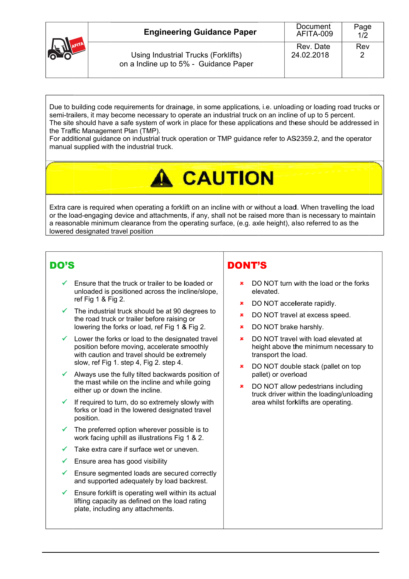| <b>OCCUPATION</b> | <b>Engineering Guidance Paper</b>                                            | Document<br>AFITA-009   | Page<br>1/2 |
|-------------------|------------------------------------------------------------------------------|-------------------------|-------------|
|                   | Using Industrial Trucks (Forklifts)<br>on a Indine up to 5% - Guidance Paper | Rev. Date<br>24.02.2018 | Rev         |

Due to building code requirements for drainage, in some applications, i.e. unloading or loading road trucks or semi-trailers, it may become necessary to operate an industrial truck on an incline of up to 5 percent. The site should have a safe system of work in place for these applications and these should be addressed in the Traffic Management Plan (TMP).

For additional guidance on industrial truck operation or TMP guidance refer to AS2359.2, and the operator manual supplied with the industrial truck.

## **A CAUTION**

Extra care is required when operating a forklift on an incline with or without a load. When travelling the load or the load-engaging device and attachments, if any, shall not be raised more than is necessary to maintain a reasonable minimum clearance from the operating surface, (e.g. axle height), also referred to as the lowered designated travel position

## DO'S

- Ensure that the truck or trailer to be loaded or unloaded is positioned across the incline/slope. ref Fig 1 & Fig 2.
- $\checkmark$  The industrial truck should be at 90 degrees to the road truck or trailer before raising or lowering the forks or load, ref Fig 1 & Fig 2.
- Lower the forks or load to the designated travel position before moving, accelerate smoothly with caution and travel should be extremely slow, ref Fig 1. step 4, Fig 2. step 4.
- Always use the fully tilted backwards position of the mast while on the incline and while going either up or down the incline.
- If required to turn, do so extremely slowly with forks or load in the lowered designated travel position.
- The preferred option wherever possible is to work facing uphill as illustrations Fig 1 & 2.
- Take extra care if surface wet or uneven.
- $\checkmark$ Ensure area has good visibility
- Ensure segmented loads are secured correctly and supported adequately by load backrest.
- Ensure forklift is operating well within its actual lifting capacity as defined on the load rating plate, including any attachments.

## **DONT'S**

- DO NOT turn with the load or the forks elevated
- DO NOT accelerate rapidly.
- DO NOT travel at excess speed. se i
- DO NOT brake harshly.  $\mathbf{x}$
- DO NOT travel with load elevated at  $\mathbf{x}$ height above the minimum necessary to transport the load.
- $\mathbf{x}$ DO NOT double stack (pallet on top pallet) or overload
- DO NOT allow pedestrians including truck driver within the loading/unloading area whilst forklifts are operating.